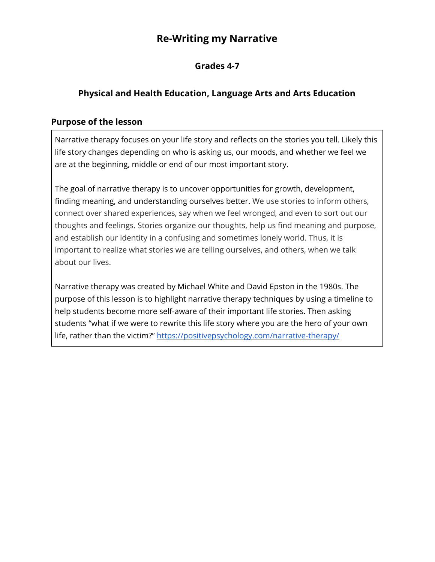# **Re-Writing my Narrative**

## **Grades 4-7**

# **Physical and Health Education, Language Arts and Arts Education**

#### **Purpose of the lesson**

Narrative therapy focuses on your life story and reflects on the stories you tell. Likely this life story changes depending on who is asking us, our moods, and whether we feel we are at the beginning, middle or end of our most important story.

The goal of narrative therapy is to uncover opportunities for growth, development, finding meaning, and understanding ourselves better. We use stories to inform others, connect over shared experiences, say when we feel wronged, and even to sort out our thoughts and feelings. Stories organize our thoughts, help us find meaning and purpose, and establish our identity in a confusing and sometimes lonely world. Thus, it is important to realize what stories we are telling ourselves, and others, when we talk about our lives.

Narrative therapy was created by Michael White and David Epston in the 1980s. The purpose of this lesson is to highlight narrative therapy techniques by using a timeline to help students become more self-aware of their important life stories. Then asking students "what if we were to rewrite this life story where you are the hero of your own life, rather than the victim?" https://positivepsychology.com/narrative-therapy/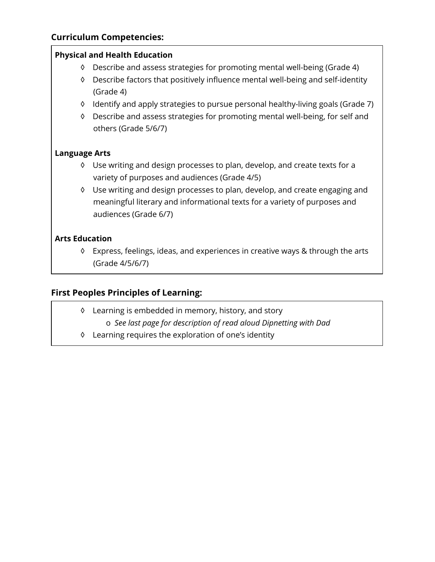### **Curriculum Competencies:**

#### **Physical and Health Education**

- ◊ Describe and assess strategies for promoting mental well-being (Grade 4)
- ◊ Describe factors that positively influence mental well-being and self-identity (Grade 4)
- ◊ Identify and apply strategies to pursue personal healthy-living goals (Grade 7)
- ◊ Describe and assess strategies for promoting mental well-being, for self and others (Grade 5/6/7)

#### **Language Arts**

- ◊ Use writing and design processes to plan, develop, and create texts for a variety of purposes and audiences (Grade 4/5)
- ◊ Use writing and design processes to plan, develop, and create engaging and meaningful literary and informational texts for a variety of purposes and audiences (Grade 6/7)

#### **Arts Education**

◊ Express, feelings, ideas, and experiences in creative ways & through the arts (Grade 4/5/6/7)

### **First Peoples Principles of Learning:**

- ◊ Learning is embedded in memory, history, and story
	- o *See last page for description of read aloud Dipnetting with Dad*
- ◊ Learning requires the exploration of one's identity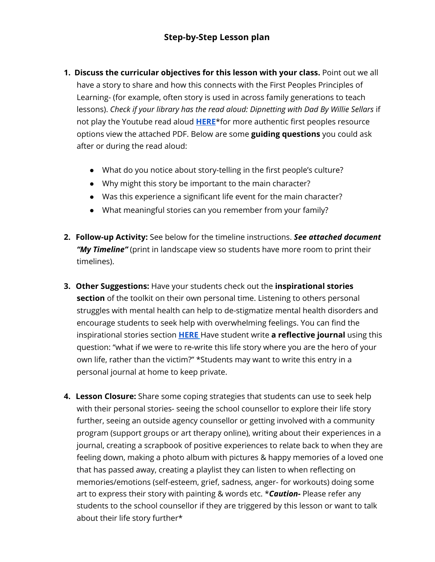## **Step-by-Step Lesson plan**

- **1. Discuss the curricular objectives for this lesson with your class.** Point out we all have a story to share and how this connects with the First Peoples Principles of Learning- (for example, often story is used in across family generations to teach lessons). *Check if your library has the read aloud: Dipnetting with Dad By Willie Sellars* if not play the Youtube read aloud **[HERE](https://m.youtube.com/watch?v=cHJJggDhPcU)**\*for more authentic first peoples resource options view the attached PDF. Below are some **guiding questions** you could ask after or during the read aloud:
	- What do you notice about story-telling in the first people's culture?
	- Why might this story be important to the main character?
	- Was this experience a significant life event for the main character?
	- What meaningful stories can you remember from your family?
- **2. Follow-up Activity:** See below for the timeline instructions. *See attached document "My Timeline"* (print in landscape view so students have more room to print their timelines).
- **3. Other Suggestions:** Have your students check out the **inspirational stories section** of the toolkit on their own personal time. Listening to others personal struggles with mental health can help to de-stigmatize mental health disorders and encourage students to seek help with overwhelming feelings. You can find the inspirational stories section **[HERE](https://studentmentalhealthtoolkit.com/youth-corner/stigma-free-stories/)** Have student write **a reflective journal** using this question: "what if we were to re-write this life story where you are the hero of your own life, rather than the victim?" \*Students may want to write this entry in a personal journal at home to keep private.
- **4. Lesson Closure:** Share some coping strategies that students can use to seek help with their personal stories- seeing the school counsellor to explore their life story further, seeing an outside agency counsellor or getting involved with a community program (support groups or art therapy online), writing about their experiences in a journal, creating a scrapbook of positive experiences to relate back to when they are feeling down, making a photo album with pictures & happy memories of a loved one that has passed away, creating a playlist they can listen to when reflecting on memories/emotions (self-esteem, grief, sadness, anger- for workouts) doing some art to express their story with painting & words etc. \**Caution-* Please refer any students to the school counsellor if they are triggered by this lesson or want to talk about their life story further\*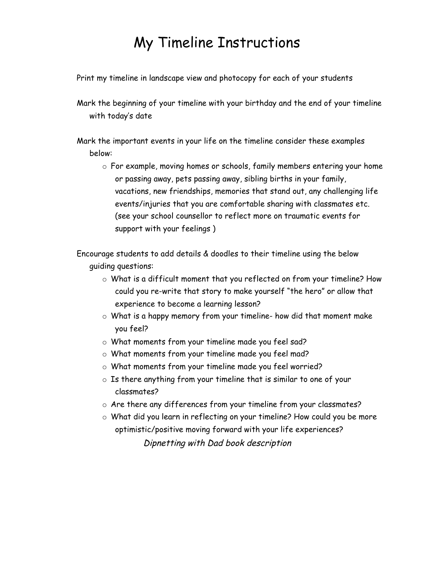# My Timeline Instructions

Print my timeline in landscape view and photocopy for each of your students

Mark the beginning of your timeline with your birthday and the end of your timeline with today's date

Mark the important events in your life on the timeline consider these examples below:

o For example, moving homes or schools, family members entering your home or passing away, pets passing away, sibling births in your family, vacations, new friendships, memories that stand out, any challenging life events/injuries that you are comfortable sharing with classmates etc. (see your school counsellor to reflect more on traumatic events for support with your feelings )

Encourage students to add details & doodles to their timeline using the below guiding questions:

- o What is a difficult moment that you reflected on from your timeline? How could you re-write that story to make yourself "the hero" or allow that experience to become a learning lesson?
- $\circ$  What is a happy memory from your timeline- how did that moment make you feel?
- o What moments from your timeline made you feel sad?
- o What moments from your timeline made you feel mad?
- o What moments from your timeline made you feel worried?
- o Is there anything from your timeline that is similar to one of your classmates?
- o Are there any differences from your timeline from your classmates?
- o What did you learn in reflecting on your timeline? How could you be more optimistic/positive moving forward with your life experiences? Dipnetting with Dad book description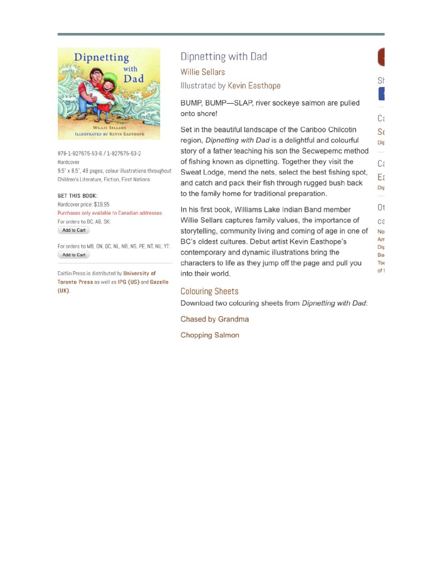

978-1-927575-53-6 / 1-927575-53-2 Hardcover 9.5" x 8.5", 48 pages, colour illustrations throughout Children's Literature, Fiction, First Nations

#### **GET THIS BOOK:**

Hardcover price: \$19.95 Purchases only available to Canadian addresses. For orders to BC, AB, SK: Add to Cart

For orders to MB, ON, QC, NL, NB, NS, PE, NT, NU, YT: Add to Cart

Caitlin Press is distributed by University of Toronto Press as well as IPG (US) and Gazelle  $(UK)$ 

# Dipnetting with Dad

**Willie Sellars** 

#### Illustrated by Kevin Easthope

BUMP, BUMP-SLAP, river sockeye salmon are pulled onto shore!

SF

Ca

Set in the beautiful landscape of the Cariboo Chilcotin  $S_f$ region, Dipnetting with Dad is a delightful and colourful Dip story of a father teaching his son the Secwepemc method of fishing known as dipnetting. Together they visit the Cε Sweat Lodge, mend the nets, select the best fishing spot, Eε and catch and pack their fish through rugged bush back Dip to the family home for traditional preparation.

Ot In his first book, Williams Lake Indian Band member Willie Sellars captures family values, the importance of C<sub>3</sub> storytelling, community living and coming of age in one of No<sup>-</sup> Am BC's oldest cultures. Debut artist Kevin Easthope's Dip contemporary and dynamic illustrations bring the Ba characters to life as they jump off the page and pull you  $Tse$ of t into their world.

#### **Colouring Sheets**

Download two colouring sheets from Dipnetting with Dad:

Chased by Grandma

**Chopping Salmon**